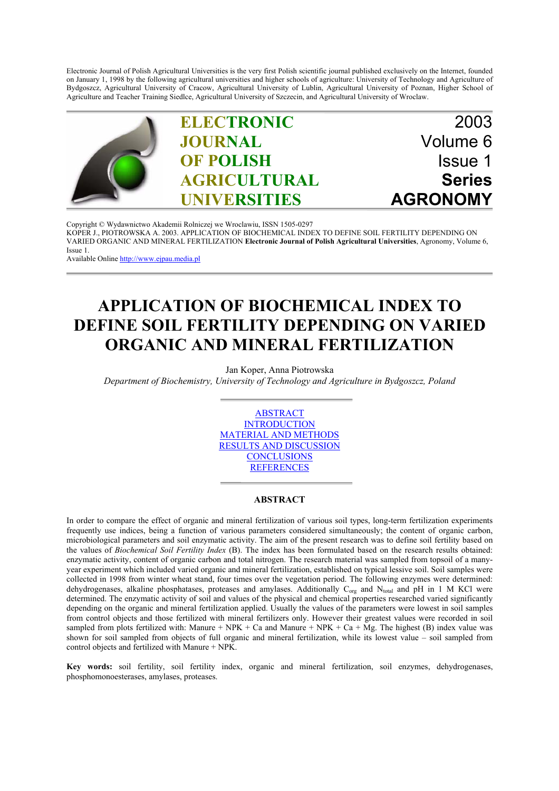Electronic Journal of Polish Agricultural Universities is the very first Polish scientific journal published exclusively on the Internet, founded on January 1, 1998 by the following agricultural universities and higher schools of agriculture: University of Technology and Agriculture of Bydgoszcz, Agricultural University of Cracow, Agricultural University of Lublin, Agricultural University of Poznan, Higher School of Agriculture and Teacher Training Siedlce, Agricultural University of Szczecin, and Agricultural University of Wroclaw.



Copyright © Wydawnictwo Akademii Rolniczej we Wroclawiu, ISSN 1505-0297 [KOPER J., PIOTROWSKA A. 2003. APPLICATION OF BIOCHEMICAL INDEX TO DEFINE SOIL FERTILITY DEPENDING ON](http://www.ejpau.media.pl) VARIED ORGANIC AND MINERAL FERTILIZATION **Electronic Journal of Polish Agricultural Universities**, Agronomy, Volume 6, Issue 1.

Available Online http://www.ejpau.media.pl

# **APPLICATION OF BIOCHEMICAL INDEX TO DEFINE SOIL FERTILITY DEPENDING ON VARIED ORGANIC AND MINERAL FERTILIZATION**

Jan Koper, Anna Piotrowska

*Department of Biochemistry, University of Technology and Agriculture in Bydgoszcz, Poland*



### **ABSTRACT**

In order to compare the effect of organic and mineral fertilization of various soil types, long-term fertilization experiments frequently use indices, being a function of various parameters considered simultaneously; the content of organic carbon, microbiological parameters and soil enzymatic activity. The aim of the present research was to define soil fertility based on the values of *Biochemical Soil Fertility Index* (B). The index has been formulated based on the research results obtained: enzymatic activity, content of organic carbon and total nitrogen. The research material was sampled from topsoil of a manyyear experiment which included varied organic and mineral fertilization, established on typical lessive soil. Soil samples were collected in 1998 from winter wheat stand, four times over the vegetation period. The following enzymes were determined: dehydrogenases, alkaline phosphatases, proteases and amylases. Additionally C<sub>org</sub> and N<sub>total</sub> and pH in 1 M KCl were determined. The enzymatic activity of soil and values of the physical and chemical properties researched varied significantly depending on the organic and mineral fertilization applied. Usually the values of the parameters were lowest in soil samples from control objects and those fertilized with mineral fertilizers only. However their greatest values were recorded in soil sampled from plots fertilized with: Manure + NPK + Ca and Manure + NPK + Ca + Mg. The highest (B) index value was shown for soil sampled from objects of full organic and mineral fertilization, while its lowest value – soil sampled from control objects and fertilized with Manure + NPK.

**Key words:** soil fertility, soil fertility index, organic and mineral fertilization, soil enzymes, dehydrogenases, phosphomonoesterases, amylases, proteases.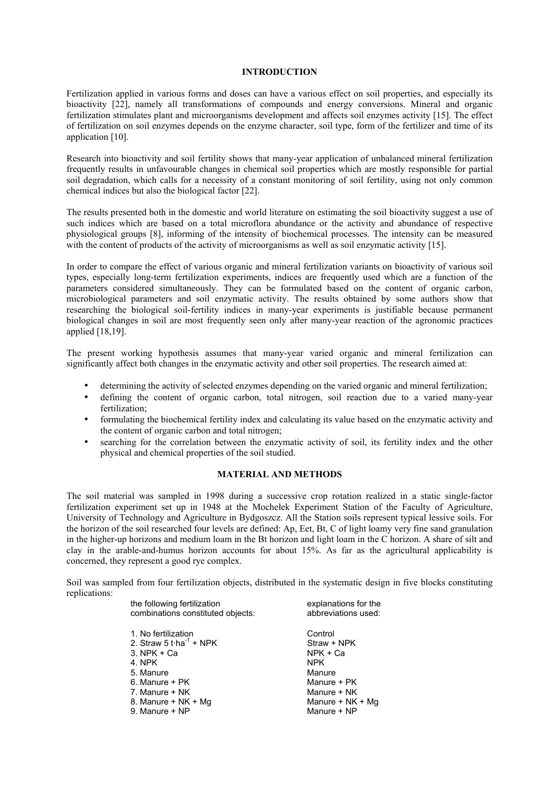#### **INTRODUCTION**

Fertilization applied in various forms and doses can have a various effect on soil properties, and especially its bioactivity [22], namely all transformations of compounds and energy conversions. Mineral and organic fertilization stimulates plant and microorganisms development and affects soil enzymes activity [15]. The effect of fertilization on soil enzymes depends on the enzyme character, soil type, form of the fertilizer and time of its application [10].

Research into bioactivity and soil fertility shows that many-year application of unbalanced mineral fertilization frequently results in unfavourable changes in chemical soil properties which are mostly responsible for partial soil degradation, which calls for a necessity of a constant monitoring of soil fertility, using not only common chemical indices but also the biological factor [22].

The results presented both in the domestic and world literature on estimating the soil bioactivity suggest a use of such indices which are based on a total microflora abundance or the activity and abundance of respective physiological groups [8], informing of the intensity of biochemical processes. The intensity can be measured with the content of products of the activity of microorganisms as well as soil enzymatic activity [15].

In order to compare the effect of various organic and mineral fertilization variants on bioactivity of various soil types, especially long-term fertilization experiments, indices are frequently used which are a function of the parameters considered simultaneously. They can be formulated based on the content of organic carbon, microbiological parameters and soil enzymatic activity. The results obtained by some authors show that researching the biological soil-fertility indices in many-year experiments is justifiable because permanent biological changes in soil are most frequently seen only after many-year reaction of the agronomic practices applied [18,19].

The present working hypothesis assumes that many-year varied organic and mineral fertilization can significantly affect both changes in the enzymatic activity and other soil properties. The research aimed at:

- determining the activity of selected enzymes depending on the varied organic and mineral fertilization;
- defining the content of organic carbon, total nitrogen, soil reaction due to a varied many-year fertilization;
- formulating the biochemical fertility index and calculating its value based on the enzymatic activity and the content of organic carbon and total nitrogen;
- searching for the correlation between the enzymatic activity of soil, its fertility index and the other physical and chemical properties of the soil studied.

## **MATERIAL AND METHODS**

The soil material was sampled in 1998 during a successive crop rotation realized in a static single-factor fertilization experiment set up in 1948 at the Mochełek Experiment Station of the Faculty of Agriculture, University of Technology and Agriculture in Bydgoszcz. All the Station soils represent typical lessive soils. For the horizon of the soil researched four levels are defined: Ap, Eet, Bt, C of light loamy very fine sand granulation in the higher-up horizons and medium loam in the Bt horizon and light loam in the C horizon. A share of silt and clay in the arable-and-humus horizon accounts for about 15%. As far as the agricultural applicability is concerned, they represent a good rye complex.

Soil was sampled from four fertilization objects, distributed in the systematic design in five blocks constituting replications:

| the following fertilization<br>combinations constituted objects: | explanations for the<br>abbreviations used: |
|------------------------------------------------------------------|---------------------------------------------|
| 1. No fertilization                                              | Control                                     |
| 2. Straw 5 t $\cdot$ ha <sup>-1</sup> + NPK                      | Straw + NPK                                 |
| $3.$ NPK $+$ Ca                                                  | $NPK + Ca$                                  |
| 4. NPK                                                           | <b>NPK</b>                                  |
| 5. Manure                                                        | Manure                                      |
| 6. Manure + PK                                                   | Manure + PK                                 |
| 7. Manure + NK                                                   | Manure + NK                                 |
| 8. Manure + NK + Mg                                              | Manure + $NK + Mg$                          |
| 9. Manure + NP                                                   | Manure + NP                                 |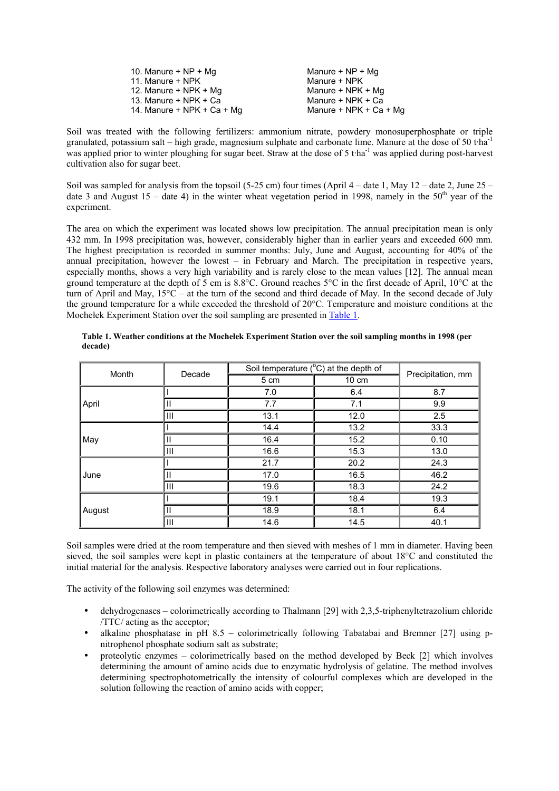| 10. Manure $+ NP + Mq$     | Manure + NP + Mg         |
|----------------------------|--------------------------|
| 11. Manure + NPK           | Manure + NPK             |
| 12. Manure + NPK + Mg      | Manure + NPK + Mg        |
| 13. Manure + NPK + Ca      | Manure + NPK + Ca        |
| 14. Manure + NPK + Ca + Mg | Manure + $NPK + Ca + Mg$ |

Soil was treated with the following fertilizers: ammonium nitrate, powdery monosuperphosphate or triple granulated, potassium salt – high grade, magnesium sulphate and carbonate lime. Manure at the dose of 50 t·ha-1 was applied prior to winter ploughing for sugar beet. Straw at the dose of 5 t·ha<sup>-1</sup> was applied during post-harvest cultivation also for sugar beet.

Soil was sampled for analysis from the topsoil (5-25 cm) four times (April  $4 -$  date 1, May 12 – date 2, June 25 – date 3 and August 15 – date 4) in the winter wheat vegetation period in 1998, namely in the  $50<sup>th</sup>$  year of the experiment.

The area on which the experiment was located shows low precipitation. The annual precipitation mean is only 432 mm. In 1998 precipitation was, however, considerably higher than in earlier years and exceeded 600 mm. The highest precipitation is recorded in summer months: July, June and August, accounting for 40% of the annual precipitation, however the lowest – in February and March. The precipitation in respective years, especially months, shows a very high variability and is rarely close to the mean values [12]. The annual mean ground temperature at the depth of 5 cm is 8.8°C. Ground reaches 5°C in the first decade of April, 10°C at the turn of April and May, 15°C – at the turn of the second and third decade of May. In the second decade of July the ground temperature for a while exceeded the threshold of 20°C. Temperature and moisture conditions at the Mochełek Experiment Station over the soil sampling are presented in Table 1.

| Month  | Decade       | Soil temperature $(^{\circ}C)$ at the depth of |       |                   |
|--------|--------------|------------------------------------------------|-------|-------------------|
|        |              | 5 cm                                           | 10 cm | Precipitation, mm |
|        |              | 7.0                                            | 6.4   | 8.7               |
| April  | Ш            | 7.7                                            | 7.1   | 9.9               |
|        | III          | 13.1                                           | 12.0  | 2.5               |
| May    |              | 14.4                                           | 13.2  | 33.3              |
|        | Ш            | 16.4                                           | 15.2  | 0.10              |
|        | III          | 16.6                                           | 15.3  | 13.0              |
| June   |              | 21.7                                           | 20.2  | 24.3              |
|        | Ш            | 17.0                                           | 16.5  | 46.2              |
|        | III          | 19.6                                           | 18.3  | 24.2              |
| August |              | 19.1                                           | 18.4  | 19.3              |
|        | $\mathbf{I}$ | 18.9                                           | 18.1  | 6.4               |
|        | III          | 14.6                                           | 14.5  | 40.1              |

**Table 1. Weather conditions at the Mochełek Experiment Station over the soil sampling months in 1998 (per decade)**

Soil samples were dried at the room temperature and then sieved with meshes of 1 mm in diameter. Having been sieved, the soil samples were kept in plastic containers at the temperature of about 18°C and constituted the initial material for the analysis. Respective laboratory analyses were carried out in four replications.

The activity of the following soil enzymes was determined:

- dehydrogenases colorimetrically according to Thalmann [29] with 2,3,5-triphenyltetrazolium chloride /TTC/ acting as the acceptor;
- alkaline phosphatase in pH  $8.5$  colorimetrically following Tabatabai and Bremner [27] using pnitrophenol phosphate sodium salt as substrate;
- proteolytic enzymes colorimetrically based on the method developed by Beck [2] which involves determining the amount of amino acids due to enzymatic hydrolysis of gelatine. The method involves determining spectrophotometrically the intensity of colourful complexes which are developed in the solution following the reaction of amino acids with copper;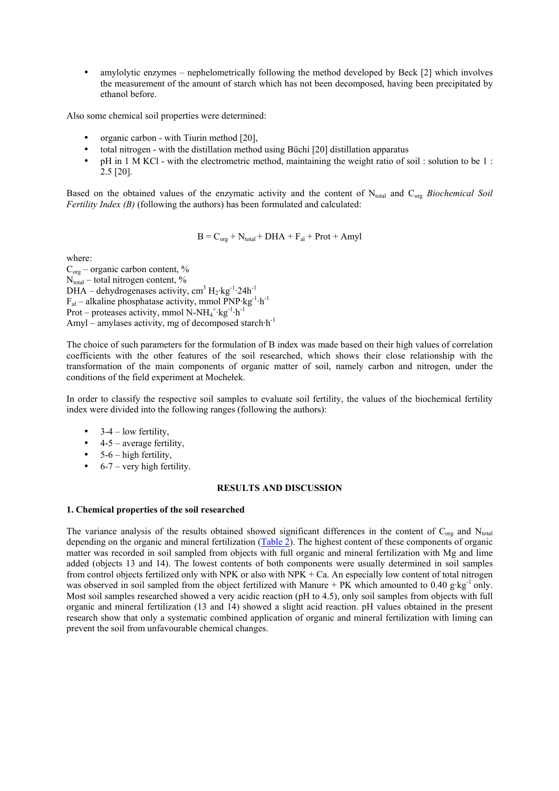• amylolytic enzymes – nephelometrically following the method developed by Beck [2] which involves the measurement of the amount of starch which has not been decomposed, having been precipitated by ethanol before.

Also some chemical soil properties were determined:

- organic carbon with Tiurin method [20],
- total nitrogen with the distillation method using Büchi [20] distillation apparatus
- pH in 1 M KCl with the electrometric method, maintaining the weight ratio of soil : solution to be 1 : 2.5 [20].

Based on the obtained values of the enzymatic activity and the content of N<sub>total</sub> and C<sub>org</sub> Biochemical Soil *Fertility Index (B)* (following the authors) has been formulated and calculated:

$$
B = C_{org} + N_{total} + DHA + F_{al} + Prot + Amyl
$$

where:

 $C_{org}$  – organic carbon content, %  $N_{total}$  – total nitrogen content,  $\%$ DHA – dehydrogenases activity, cm<sup>3</sup>  $H_2$ ·kg<sup>-1</sup>·24h<sup>-1</sup>  $F_{al}$  – alkaline phosphatase activity, mmol PNP·kg<sup>-1</sup>·h<sup>-1</sup> Prot – proteases activity, mmol  $N-NH_4^+$ ·kg<sup>-1</sup>·h<sup>-1</sup> Amyl – amylases activity, mg of decomposed starch $h^{-1}$ 

The choice of such parameters for the formulation of B index was made based on their high values of correlation coefficients with the other features of the soil researched, which shows their close relationship with the transformation of the main components of organic matter of soil, namely carbon and nitrogen, under the conditions of the field experiment at Mochełek.

In order to classify the respective soil samples to evaluate soil fertility, the values of the biochemical fertility index were divided into the following ranges (following the authors):

- $3-4$  low fertility,
- $\bullet$  4-5 average fertility,
- $\bullet$  5-6 high fertility,
- $\bullet$  6-7 very high fertility.

### **RESULTS AND DISCUSSION**

## **1. Chemical properties of the soil researched**

The variance analysis of the results obtained showed significant differences in the content of  $C_{org}$  and  $N_{total}$ depending on the organic and mineral fertilization (Table 2). The highest content of these components of organic matter was recorded in soil sampled from objects with full organic and mineral fertilization with Mg and lime added (objects 13 and 14). The lowest contents of both components were usually determined in soil samples from control objects fertilized only with NPK or also with NPK + Ca. An especially low content of total nitrogen was observed in soil sampled from the object fertilized with Manure + PK which amounted to 0.40 g·kg<sup>-1</sup> only. Most soil samples researched showed a very acidic reaction (pH to 4.5), only soil samples from objects with full organic and mineral fertilization (13 and 14) showed a slight acid reaction. pH values obtained in the present research show that only a systematic combined application of organic and mineral fertilization with liming can prevent the soil from unfavourable chemical changes.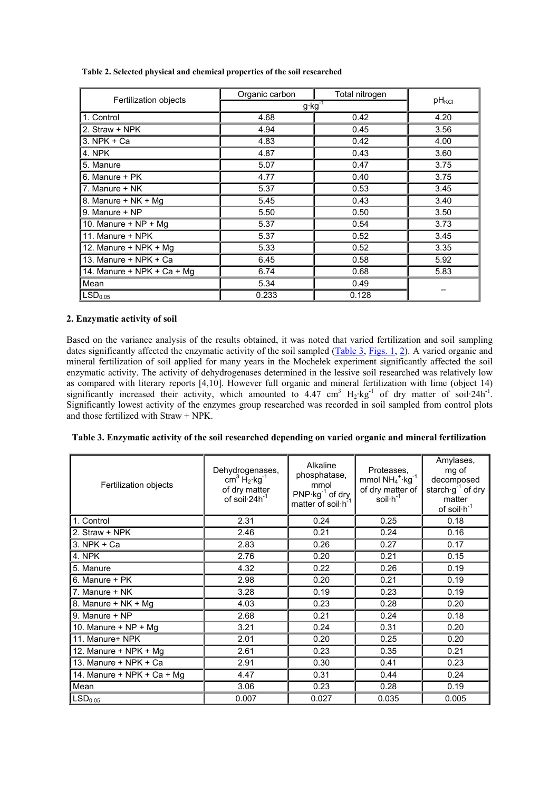| Fertilization objects      | Organic carbon    | Total nitrogen    |      |  |
|----------------------------|-------------------|-------------------|------|--|
|                            | $g \cdot kg^{-1}$ | pH <sub>KCI</sub> |      |  |
| 1. Control                 | 4.68              | 0.42              | 4.20 |  |
| 2. Straw + NPK             | 4.94              | 0.45              | 3.56 |  |
| $3.$ NPK $+$ Ca            | 4.83              | 0.42              | 4.00 |  |
| 4. NPK                     | 4.87              | 0.43              | 3.60 |  |
| 5. Manure                  | 5.07              | 0.47              | 3.75 |  |
| 6. Manure + PK             | 4.77              | 0.40              | 3.75 |  |
| 7. Manure + NK             | 5.37              | 0.53              | 3.45 |  |
| 8. Manure + NK + Mg        | 5.45              | 0.43              | 3.40 |  |
| 9. Manure + NP             | 5.50              | 0.50              | 3.50 |  |
| 10. Manure $+ NP + Mq$     | 5.37              | 0.54              | 3.73 |  |
| 11. Manure + NPK           | 5.37              | 0.52              | 3.45 |  |
| 12. Manure + NPK + Mg      | 5.33              | 0.52              | 3.35 |  |
| 13. Manure + NPK + Ca      | 6.45              | 0.58              | 5.92 |  |
| 14. Manure + NPK + Ca + Mg | 6.74              | 0.68              | 5.83 |  |
| Mean                       | 5.34              | 0.49              |      |  |
| LSD <sub>0.05</sub>        | 0.233             | 0.128             |      |  |

**Table 2. Selected physical and chemical properties of the soil researched**

## **2. Enzymatic activity of soil**

Based on the variance analysis of the results obtained, it was noted that varied fertilization and soil sampling dates significantly affected the enzymatic activity of the soil sampled (Table 3, Figs. 1, 2). A varied organic and mineral fertilization of soil applied for many years in the Mochełek experiment significantly affected the soil enzymatic activity. The activity of dehydrogenases determined in the lessive soil researched was relatively low as compared with literary reports [4,10]. However full organic and mineral fertilization with lime (object 14) significantly increased their activity, which amounted to 4.47 cm<sup>3</sup>  $H_2$ ·kg<sup>-1</sup> of dry matter of soil·24h<sup>-1</sup>. Significantly lowest activity of the enzymes group researched was recorded in soil sampled from control plots and those fertilized with Straw + NPK.

| Fertilization objects         | Alkaline<br>Dehydrogenases,<br>phosphatase,<br>$cm3$ H <sub>2</sub> ·kg <sup>-1</sup><br>mmol<br>of dry matter<br>$PNP·kg-1$ of dry<br>of soil $24h^{-1}$<br>matter of soil h <sup>-1</sup> |       | Proteases,<br>mmol $NH_4$ <sup>+</sup> ·kg <sup>-1</sup><br>of dry matter of<br>$s$ oil $\cdot$ h <sup>-1</sup> | Amylases,<br>mg of<br>decomposed<br>starch $g^{-1}$ of dry<br>matter<br>of soil $\cdot h^{-1}$ |
|-------------------------------|---------------------------------------------------------------------------------------------------------------------------------------------------------------------------------------------|-------|-----------------------------------------------------------------------------------------------------------------|------------------------------------------------------------------------------------------------|
| 1. Control                    | 2.31                                                                                                                                                                                        | 0.24  | 0.25                                                                                                            | 0.18                                                                                           |
| 2. Straw + NPK                | 2.46                                                                                                                                                                                        | 0.21  | 0.24                                                                                                            | 0.16                                                                                           |
| $3.$ NPK + Ca                 | 2.83                                                                                                                                                                                        | 0.26  | 0.27                                                                                                            | 0.17                                                                                           |
| 4. NPK                        | 2.76                                                                                                                                                                                        | 0.20  | 0.21                                                                                                            | 0.15                                                                                           |
| 5. Manure                     | 4.32                                                                                                                                                                                        | 0.22  | 0.26                                                                                                            | 0.19                                                                                           |
| 6. Manure + PK                | 2.98                                                                                                                                                                                        | 0.20  | 0.21                                                                                                            | 0.19                                                                                           |
| 7. Manure + NK                | 3.28                                                                                                                                                                                        | 0.19  | 0.23                                                                                                            | 0.19                                                                                           |
| 8. Manure + NK + Mg           | 4.03                                                                                                                                                                                        | 0.23  | 0.28                                                                                                            | 0.20                                                                                           |
| 9. Manure + NP                | 2.68                                                                                                                                                                                        | 0.21  | 0.24                                                                                                            | 0.18                                                                                           |
| 10. Manure + $NP + Mg$        | 3.21                                                                                                                                                                                        | 0.24  | 0.31                                                                                                            | 0.20                                                                                           |
| 11. Manure+ NPK               | 2.01                                                                                                                                                                                        | 0.20  | 0.25                                                                                                            | 0.20                                                                                           |
| 12. Manure + NPK + Mg<br>2.61 |                                                                                                                                                                                             | 0.23  | 0.35                                                                                                            | 0.21                                                                                           |
| 13. Manure + NPK + Ca         | 2.91                                                                                                                                                                                        |       | 0.41                                                                                                            | 0.23                                                                                           |
| 14. Manure + NPK + Ca + Mg    | 4.47                                                                                                                                                                                        | 0.31  | 0.44                                                                                                            | 0.24                                                                                           |
| Mean                          | 3.06                                                                                                                                                                                        | 0.23  | 0.28                                                                                                            | 0.19                                                                                           |
| LSD <sub>0.05</sub>           | 0.007                                                                                                                                                                                       | 0.027 | 0.035                                                                                                           | 0.005                                                                                          |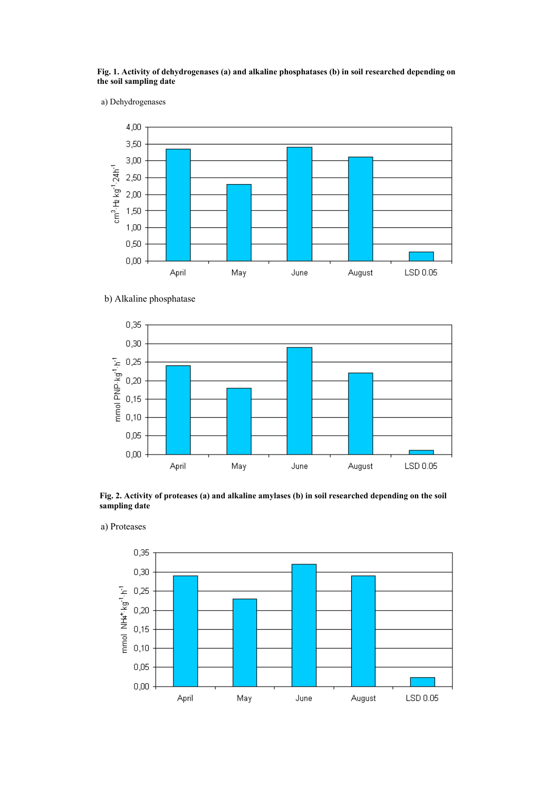#### **Fig. 1. Activity of dehydrogenases (a) and alkaline phosphatases (b) in soil researched depending on the soil sampling date**

a) Dehydrogenases



b) Alkaline phosphatase



**Fig. 2. Activity of proteases (a) and alkaline amylases (b) in soil researched depending on the soil sampling date**

a) Proteases

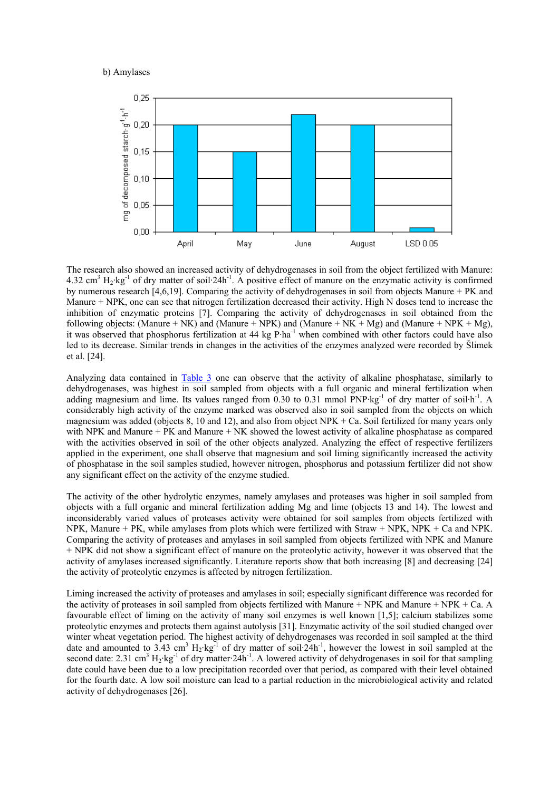

The research also showed an increased activity of dehydrogenases in soil from the object fertilized with Manure: 4.32 cm<sup>3</sup>  $H_2$ ·kg<sup>-1</sup> of dry matter of soil·24h<sup>-1</sup>. A positive effect of manure on the enzymatic activity is confirmed by numerous research [4,6,19]. Comparing the activity of dehydrogenases in soil from objects Manure + PK and Manure + NPK, one can see that nitrogen fertilization decreased their activity. High N doses tend to increase the inhibition of enzymatic proteins [7]. Comparing the activity of dehydrogenases in soil obtained from the following objects: (Manure + NK) and (Manure + NPK) and (Manure + NK + Mg) and (Manure + NPK + Mg), it was observed that phosphorus fertilization at 44 kg P·ha<sup>-1</sup> when combined with other factors could have also led to its decrease. Similar trends in changes in the activities of the enzymes analyzed were recorded by Šlimek et al. [24].

Analyzing data contained in Table 3 one can observe that the activity of alkaline phosphatase, similarly to dehydrogenases, was highest in soil sampled from objects with a full organic and mineral fertilization when adding magnesium and lime. Its values ranged from 0.30 to 0.31 mmol  $PNP \cdot kg^{-1}$  of dry matter of soil $h^{-1}$ . A considerably high activity of the enzyme marked was observed also in soil sampled from the objects on which magnesium was added (objects 8, 10 and 12), and also from object NPK + Ca. Soil fertilized for many years only with NPK and Manure + PK and Manure + NK showed the lowest activity of alkaline phosphatase as compared with the activities observed in soil of the other objects analyzed. Analyzing the effect of respective fertilizers applied in the experiment, one shall observe that magnesium and soil liming significantly increased the activity of phosphatase in the soil samples studied, however nitrogen, phosphorus and potassium fertilizer did not show any significant effect on the activity of the enzyme studied.

The activity of the other hydrolytic enzymes, namely amylases and proteases was higher in soil sampled from objects with a full organic and mineral fertilization adding Mg and lime (objects 13 and 14). The lowest and inconsiderably varied values of proteases activity were obtained for soil samples from objects fertilized with NPK, Manure + PK, while amylases from plots which were fertilized with Straw + NPK, NPK + Ca and NPK. Comparing the activity of proteases and amylases in soil sampled from objects fertilized with NPK and Manure + NPK did not show a significant effect of manure on the proteolytic activity, however it was observed that the activity of amylases increased significantly. Literature reports show that both increasing [8] and decreasing [24] the activity of proteolytic enzymes is affected by nitrogen fertilization.

Liming increased the activity of proteases and amylases in soil; especially significant difference was recorded for the activity of proteases in soil sampled from objects fertilized with Manure + NPK and Manure + NPK + Ca. A favourable effect of liming on the activity of many soil enzymes is well known [1,5]; calcium stabilizes some proteolytic enzymes and protects them against autolysis [31]. Enzymatic activity of the soil studied changed over winter wheat vegetation period. The highest activity of dehydrogenases was recorded in soil sampled at the third date and amounted to 3.43 cm<sup>3</sup>  $H_2$ ·kg<sup>-1</sup> of dry matter of soil·24h<sup>-1</sup>, however the lowest in soil sampled at the second date: 2.31 cm<sup>3</sup> H<sub>2</sub>·kg<sup>-1</sup> of dry matter·24h<sup>-1</sup>. A lowered activity of dehydrogenases in soil for that sampling date could have been due to a low precipitation recorded over that period, as compared with their level obtained for the fourth date. A low soil moisture can lead to a partial reduction in the microbiological activity and related activity of dehydrogenases [26].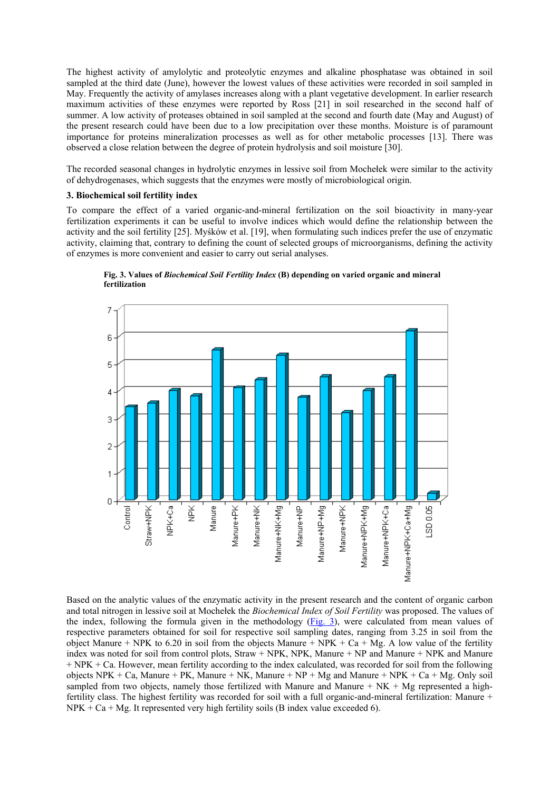The highest activity of amylolytic and proteolytic enzymes and alkaline phosphatase was obtained in soil sampled at the third date (June), however the lowest values of these activities were recorded in soil sampled in May. Frequently the activity of amylases increases along with a plant vegetative development. In earlier research maximum activities of these enzymes were reported by Ross [21] in soil researched in the second half of summer. A low activity of proteases obtained in soil sampled at the second and fourth date (May and August) of the present research could have been due to a low precipitation over these months. Moisture is of paramount importance for proteins mineralization processes as well as for other metabolic processes [13]. There was observed a close relation between the degree of protein hydrolysis and soil moisture [30].

The recorded seasonal changes in hydrolytic enzymes in lessive soil from Mochełek were similar to the activity of dehydrogenases, which suggests that the enzymes were mostly of microbiological origin.

## **3. Biochemical soil fertility index**

To compare the effect of a varied organic-and-mineral fertilization on the soil bioactivity in many-year fertilization experiments it can be useful to involve indices which would define the relationship between the activity and the soil fertility [25]. Myśków et al. [19], when formulating such indices prefer the use of enzymatic activity, claiming that, contrary to defining the count of selected groups of microorganisms, defining the activity of enzymes is more convenient and easier to carry out serial analyses.



**Fig. 3. Values of** *Biochemical Soil Fertility Index* **(B) depending on varied organic and mineral fertilization**

Based on the analytic values of the enzymatic activity in the present research and the content of organic carbon and total nitrogen in lessive soil at Mochełek the *Biochemical Index of Soil Fertility* was proposed. The values of the index, following the formula given in the methodology (Fig. 3), were calculated from mean values of respective parameters obtained for soil for respective soil sampling dates, ranging from 3.25 in soil from the object Manure + NPK to 6.20 in soil from the objects Manure + NPK + Ca + Mg. A low value of the fertility index was noted for soil from control plots, Straw + NPK, NPK, Manure + NP and Manure + NPK and Manure + NPK + Ca. However, mean fertility according to the index calculated, was recorded for soil from the following objects NPK + Ca, Manure + PK, Manure + NK, Manure + NP + Mg and Manure + NPK + Ca + Mg. Only soil sampled from two objects, namely those fertilized with Manure and Manure  $+NK + Mg$  represented a highfertility class. The highest fertility was recorded for soil with a full organic-and-mineral fertilization: Manure +  $NPK + Ca + Mg$ . It represented very high fertility soils (B index value exceeded 6).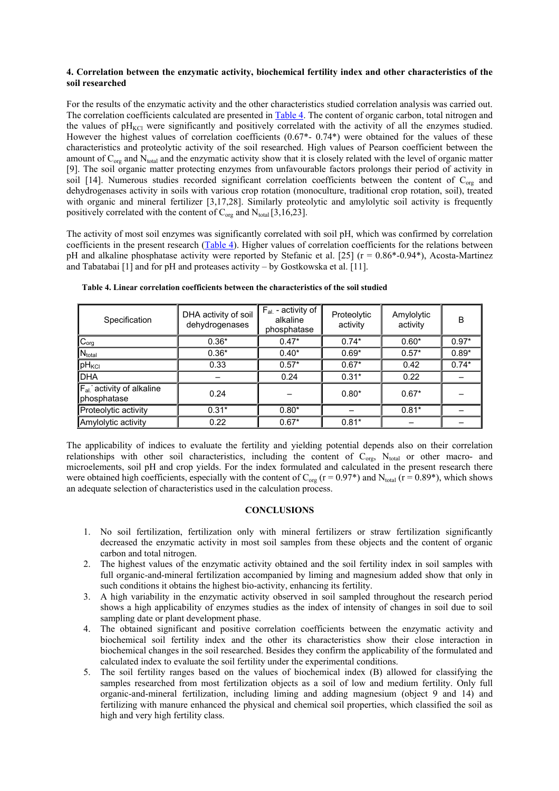## **4. Correlation between the enzymatic activity, biochemical fertility index and other characteristics of the soil researched**

For the results of the enzymatic activity and the other characteristics studied correlation analysis was carried out. The correlation coefficients calculated are presented in Table 4. The content of organic carbon, total nitrogen and the values of  $pH_{KCl}$  were significantly and positively correlated with the activity of all the enzymes studied. However the highest values of correlation coefficients (0.67<sup>\*</sup>- 0.74<sup>\*</sup>) were obtained for the values of these characteristics and proteolytic activity of the soil researched. High values of Pearson coefficient between the amount of  $C_{org}$  and  $N_{total}$  and the enzymatic activity show that it is closely related with the level of organic matter [9]. The soil organic matter protecting enzymes from unfavourable factors prolongs their period of activity in soil [14]. Numerous studies recorded significant correlation coefficients between the content of C<sub>org</sub> and dehydrogenases activity in soils with various crop rotation (monoculture, traditional crop rotation, soil), treated with organic and mineral fertilizer [3,17,28]. Similarly proteolytic and amylolytic soil activity is frequently positively correlated with the content of  $C_{org}$  and  $N_{total}$  [3,16,23].

The activity of most soil enzymes was significantly correlated with soil pH, which was confirmed by correlation coefficients in the present research (Table 4). Higher values of correlation coefficients for the relations between pH and alkaline phosphatase activity were reported by Stefanic et al. [25] (r = 0.86\*-0.94\*), Acosta-Martinez and Tabatabai [1] and for pH and proteases activity – by Gostkowska et al. [11].

| Specification                                | DHA activity of soil<br>dehydrogenases | $F_{al.}$ - activity of<br>alkaline<br>phosphatase | Proteolytic<br>activity | Amylolytic<br>activity | B       |
|----------------------------------------------|----------------------------------------|----------------------------------------------------|-------------------------|------------------------|---------|
| $C_{org}$                                    | $0.36*$                                | $0.47*$                                            | $0.74*$                 | $0.60*$                | $0.97*$ |
| Ntotal                                       | $0.36*$                                | $0.40*$                                            | $0.69*$                 | $0.57*$                | $0.89*$ |
| $ pH_{\text{KCI}} $                          | 0.33                                   | $0.57*$                                            | $0.67*$                 | 0.42                   | $0.74*$ |
| <b>I</b> DHA                                 |                                        | 0.24                                               | $0.31*$                 | 0.22                   |         |
| $F_{al}$ activity of alkaline<br>phosphatase | 0.24                                   |                                                    | $0.80*$                 | $0.67*$                |         |
| Proteolytic activity                         | $0.31*$                                | $0.80*$                                            |                         | $0.81*$                |         |
| Amylolytic activity                          | 0.22                                   | $0.67*$                                            | $0.81*$                 |                        |         |

**Table 4. Linear correlation coefficients between the characteristics of the soil studied**

The applicability of indices to evaluate the fertility and yielding potential depends also on their correlation relationships with other soil characteristics, including the content of  $C_{org}$ , N<sub>total</sub> or other macro- and microelements, soil pH and crop yields. For the index formulated and calculated in the present research there were obtained high coefficients, especially with the content of  $C_{org}$  (r = 0.97\*) and  $N_{total}$  (r = 0.89\*), which shows an adequate selection of characteristics used in the calculation process.

## **CONCLUSIONS**

- 1. No soil fertilization, fertilization only with mineral fertilizers or straw fertilization significantly decreased the enzymatic activity in most soil samples from these objects and the content of organic carbon and total nitrogen.
- 2. The highest values of the enzymatic activity obtained and the soil fertility index in soil samples with full organic-and-mineral fertilization accompanied by liming and magnesium added show that only in such conditions it obtains the highest bio-activity, enhancing its fertility.
- 3. A high variability in the enzymatic activity observed in soil sampled throughout the research period shows a high applicability of enzymes studies as the index of intensity of changes in soil due to soil sampling date or plant development phase.
- 4. The obtained significant and positive correlation coefficients between the enzymatic activity and biochemical soil fertility index and the other its characteristics show their close interaction in biochemical changes in the soil researched. Besides they confirm the applicability of the formulated and calculated index to evaluate the soil fertility under the experimental conditions.
- 5. The soil fertility ranges based on the values of biochemical index (B) allowed for classifying the samples researched from most fertilization objects as a soil of low and medium fertility. Only full organic-and-mineral fertilization, including liming and adding magnesium (object 9 and 14) and fertilizing with manure enhanced the physical and chemical soil properties, which classified the soil as high and very high fertility class.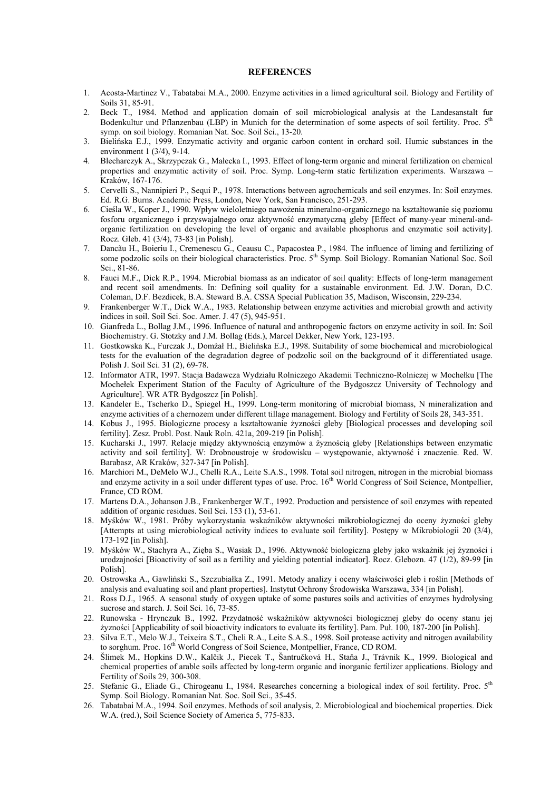#### **REFERENCES**

- 1. Acosta-Martinez V., Tabatabai M.A., 2000. Enzyme activities in a limed agricultural soil. Biology and Fertility of Soils 31, 85-91.
- 2. Beck T., 1984. Method and application domain of soil microbiological analysis at the Landesanstalt fur Bodenkultur und Pflanzenbau (LBP) in Munich for the determination of some aspects of soil fertility. Proc.  $5<sup>th</sup>$ symp. on soil biology. Romanian Nat. Soc. Soil Sci., 13-20.
- 3. Bielińska E.J., 1999. Enzymatic activity and organic carbon content in orchard soil. Humic substances in the environment 1 (3/4), 9-14.
- 4. Blecharczyk A., Skrzypczak G., Małecka I., 1993. Effect of long-term organic and mineral fertilization on chemical properties and enzymatic activity of soil. Proc. Symp. Long-term static fertilization experiments. Warszawa – Kraków, 167-176.
- 5. Cervelli S., Nannipieri P., Sequi P., 1978. Interactions between agrochemicals and soil enzymes. In: Soil enzymes. Ed. R.G. Burns. Academic Press, London, New York, San Francisco, 251-293.
- 6. Cieśla W., Koper J., 1990. Wpływ wieloletniego nawożenia mineralno-organicznego na kształtowanie się poziomu fosforu organicznego i przyswajalnego oraz aktywność enzymatyczną gleby [Effect of many-year mineral-andorganic fertilization on developing the level of organic and available phosphorus and enzymatic soil activity]. Rocz. Gleb. 41 (3/4), 73-83 [in Polish].
- 7. Dancãu H., Boieriu I., Cremenescu G., Ceausu C., Papacostea P., 1984. The influence of liming and fertilizing of some podzolic soils on their biological characteristics. Proc. 5<sup>th</sup> Symp. Soil Biology. Romanian National Soc. Soil Sci., 81-86.
- 8. Fauci M.F., Dick R.P., 1994. Microbial biomass as an indicator of soil quality: Effects of long-term management and recent soil amendments. In: Defining soil quality for a sustainable environment. Ed. J.W. Doran, D.C. Coleman, D.F. Bezdicek, B.A. Steward B.A. CSSA Special Publication 35, Madison, Wisconsin, 229-234.
- 9. Frankenberger W.T., Dick W.A., 1983. Relationship between enzyme activities and microbial growth and activity indices in soil. Soil Sci. Soc. Amer. J. 47 (5), 945-951.
- 10. Gianfreda L., Bollag J.M., 1996. Influence of natural and anthropogenic factors on enzyme activity in soil. In: Soil Biochemistry. G. Stotzky and J.M. Bollag (Eds.), Marcel Dekker, New York, 123-193.
- 11. Gostkowska K., Furczak J., Domżał H., Bielińska E.J., 1998. Suitability of some biochemical and microbiological tests for the evaluation of the degradation degree of podzolic soil on the background of it differentiated usage. Polish J. Soil Sci. 31 (2), 69-78.
- 12. Informator ATR, 1997. Stacja Badawcza Wydziału Rolniczego Akademii Techniczno-Rolniczej w Mochełku [The Mochełek Experiment Station of the Faculty of Agriculture of the Bydgoszcz University of Technology and Agriculture]. WR ATR Bydgoszcz [in Polish].
- 13. Kandeler E., Tscherko D., Spiegel H., 1999. Long-term monitoring of microbial biomass, N mineralization and enzyme activities of a chernozem under different tillage management. Biology and Fertility of Soils 28, 343-351.
- 14. Kobus J., 1995. Biologiczne procesy a kształtowanie żyzności gleby [Biological processes and developing soil fertility]. Zesz. Probl. Post. Nauk Roln. 421a, 209-219 [in Polish].
- 15. Kucharski J., 1997. Relacje między aktywnością enzymów a żyznością gleby [Relationships between enzymatic activity and soil fertility]. W: Drobnoustroje w środowisku – występowanie, aktywność i znaczenie. Red. W. Barabasz, AR Kraków, 327-347 [in Polish].
- 16. Marchiori M., DeMelo W.J., Chelli R.A., Leite S.A.S., 1998. Total soil nitrogen, nitrogen in the microbial biomass and enzyme activity in a soil under different types of use. Proc. 16<sup>th</sup> World Congress of Soil Science, Montpellier, France, CD ROM.
- 17. Martens D.A., Johanson J.B., Frankenberger W.T., 1992. Production and persistence of soil enzymes with repeated addition of organic residues. Soil Sci. 153 (1), 53-61.
- 18. Myśków W., 1981. Próby wykorzystania wskaźników aktywności mikrobiologicznej do oceny żyzności gleby [Attempts at using microbiological activity indices to evaluate soil fertility]. Postępy w Mikrobiologii 20 (3/4), 173-192 [in Polish].
- 19. Myśków W., Stachyra A., Zięba S., Wasiak D., 1996. Aktywność biologiczna gleby jako wskaźnik jej żyzności i urodzajności [Bioactivity of soil as a fertility and yielding potential indicator]. Rocz. Glebozn. 47 (1/2), 89-99 [in Polish].
- 20. Ostrowska A., Gawliński S., Szczubiałka Z., 1991. Metody analizy i oceny właściwości gleb i roślin [Methods of analysis and evaluating soil and plant properties]. Instytut Ochrony Środowiska Warszawa, 334 [in Polish].
- 21. Ross D.J., 1965. A seasonal study of oxygen uptake of some pastures soils and activities of enzymes hydrolysing sucrose and starch. J. Soil Sci. 16, 73-85.
- 22. Runowska Hrynczuk B., 1992. Przydatność wskaźników aktywności biologicznej gleby do oceny stanu jej żyzności [Applicability of soil bioactivity indicators to evaluate its fertility]. Pam. Puł. 100, 187-200 [in Polish].
- 23. Silva E.T., Melo W.J., Teixeira S.T., Cheli R.A., Leite S.A.S., 1998. Soil protease activity and nitrogen availability to sorghum. Proc. 16<sup>th</sup> World Congress of Soil Science, Montpellier, France, CD ROM.
- 24. Šlimek M., Hopkins D.W., Kalčik J., Piecek T., Šantručková H., Staňa J., Trávnik K., 1999. Biological and chemical properties of arable soils affected by long-term organic and inorganic fertilizer applications. Biology and Fertility of Soils 29, 300-308.
- 25. Stefanic G., Eliade G., Chirogeanu I., 1984. Researches concerning a biological index of soil fertility. Proc. 5<sup>th</sup> Symp. Soil Biology. Romanian Nat. Soc. Soil Sci., 35-45.
- 26. Tabatabai M.A., 1994. Soil enzymes. Methods of soil analysis, 2. Microbiological and biochemical properties. Dick W.A. (red.), Soil Science Society of America 5, 775-833.